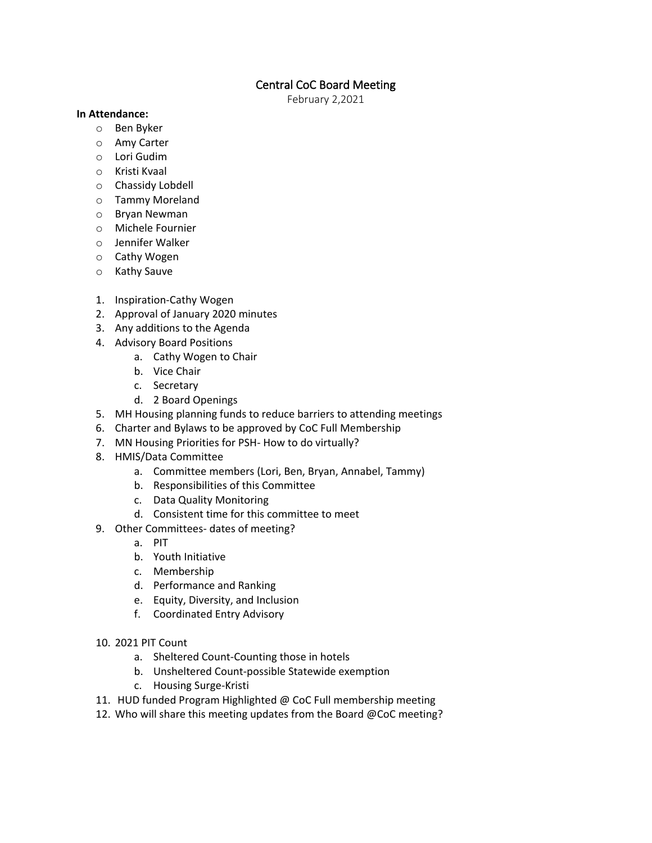# Central CoC Board Meeting

February 2,2021

### **In Attendance:**

- o Ben Byker
- o Amy Carter
- o Lori Gudim
- o Kristi Kvaal
- o Chassidy Lobdell
- o Tammy Moreland
- o Bryan Newman
- o Michele Fournier
- o Jennifer Walker
- o Cathy Wogen
- o Kathy Sauve
- 1. Inspiration-Cathy Wogen
- 2. Approval of January 2020 minutes
- 3. Any additions to the Agenda
- 4. Advisory Board Positions
	- a. Cathy Wogen to Chair
	- b. Vice Chair
	- c. Secretary
	- d. 2 Board Openings
- 5. MH Housing planning funds to reduce barriers to attending meetings
- 6. Charter and Bylaws to be approved by CoC Full Membership
- 7. MN Housing Priorities for PSH- How to do virtually?
- 8. HMIS/Data Committee
	- a. Committee members (Lori, Ben, Bryan, Annabel, Tammy)
	- b. Responsibilities of this Committee
	- c. Data Quality Monitoring
	- d. Consistent time for this committee to meet
- 9. Other Committees- dates of meeting?
	- a. PIT
	- b. Youth Initiative
	- c. Membership
	- d. Performance and Ranking
	- e. Equity, Diversity, and Inclusion
	- f. Coordinated Entry Advisory
- 10. 2021 PIT Count
	- a. Sheltered Count-Counting those in hotels
	- b. Unsheltered Count-possible Statewide exemption
	- c. Housing Surge-Kristi
- 11. HUD funded Program Highlighted @ CoC Full membership meeting
- 12. Who will share this meeting updates from the Board @CoC meeting?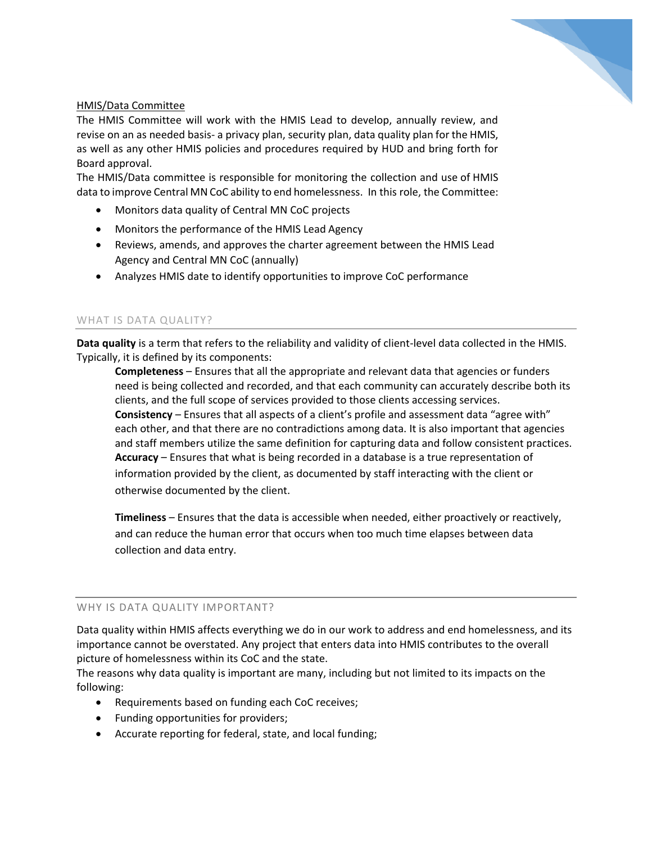

## HMIS/Data Committee

The HMIS Committee will work with the HMIS Lead to develop, annually review, and revise on an as needed basis- a privacy plan, security plan, data quality plan for the HMIS, as well as any other HMIS policies and procedures required by HUD and bring forth for Board approval.

The HMIS/Data committee is responsible for monitoring the collection and use of HMIS data to improve Central MN CoC ability to end homelessness. In this role, the Committee:

- Monitors data quality of Central MN CoC projects
- Monitors the performance of the HMIS Lead Agency
- Reviews, amends, and approves the charter agreement between the HMIS Lead Agency and Central MN CoC (annually)
- Analyzes HMIS date to identify opportunities to improve CoC performance

## WHAT IS DATA QUALITY?

**Data quality** is a term that refers to the reliability and validity of client-level data collected in the HMIS. Typically, it is defined by its components:

**Completeness** – Ensures that all the appropriate and relevant data that agencies or funders need is being collected and recorded, and that each community can accurately describe both its clients, and the full scope of services provided to those clients accessing services. **Consistency** – Ensures that all aspects of a client's profile and assessment data "agree with" each other, and that there are no contradictions among data. It is also important that agencies and staff members utilize the same definition for capturing data and follow consistent practices. **Accuracy** – Ensures that what is being recorded in a database is a true representation of information provided by the client, as documented by staff interacting with the client or otherwise documented by the client.

**Timeliness** – Ensures that the data is accessible when needed, either proactively or reactively, and can reduce the human error that occurs when too much time elapses between data collection and data entry.

## WHY IS DATA QUALITY IMPORTANT?

Data quality within HMIS affects everything we do in our work to address and end homelessness, and its importance cannot be overstated. Any project that enters data into HMIS contributes to the overall picture of homelessness within its CoC and the state.

The reasons why data quality is important are many, including but not limited to its impacts on the following:

- Requirements based on funding each CoC receives;
- Funding opportunities for providers;
- Accurate reporting for federal, state, and local funding;